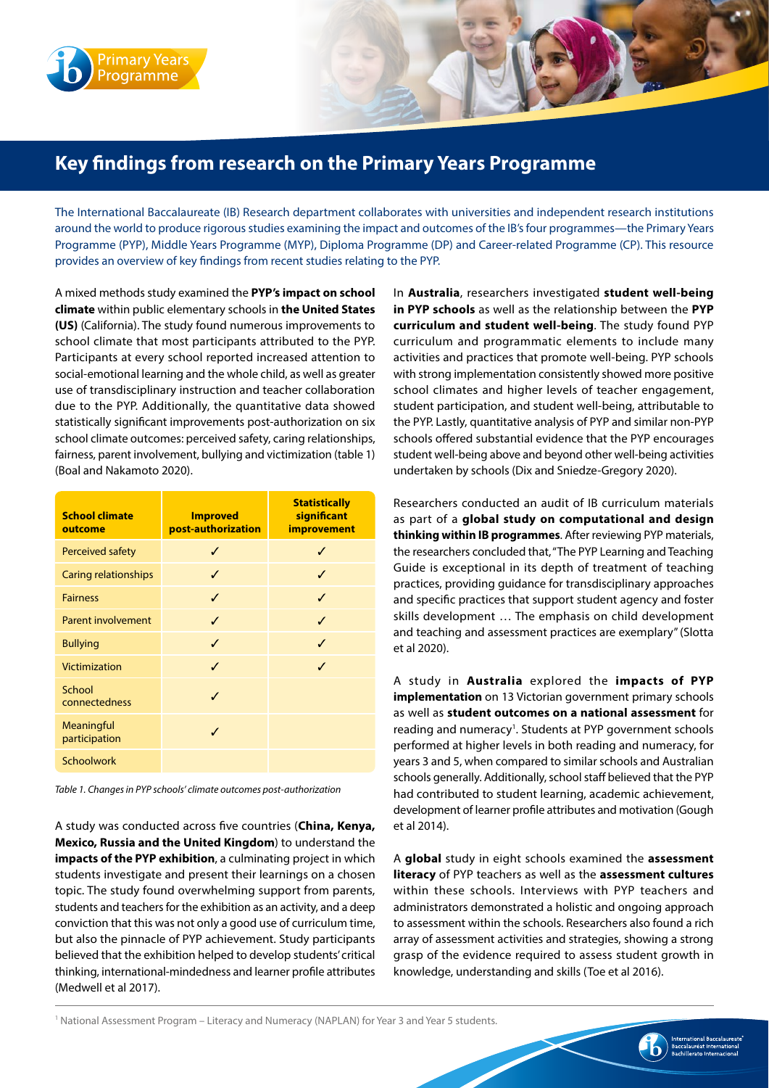

## **Key findings from research on the Primary Years Programme**

The International Baccalaureate (IB) Research department collaborates with universities and independent research institutions around the world to produce rigorous studies examining the impact and outcomes of the IB's four programmes—the Primary Years Programme (PYP), Middle Years Programme (MYP), Diploma Programme (DP) and Career-related Programme (CP). This resource provides an overview of key findings from recent studies relating to the PYP.

A mixed methods study examined the **PYP's impact on school climate** within public elementary schools in **the United States (US)** (California). The study found numerous improvements to school climate that most participants attributed to the PYP. Participants at every school reported increased attention to social-emotional learning and the whole child, as well as greater use of transdisciplinary instruction and teacher collaboration due to the PYP. Additionally, the quantitative data showed statistically significant improvements post-authorization on six school climate outcomes: perceived safety, caring relationships, fairness, parent involvement, bullying and victimization (table 1) (Boal and Nakamoto 2020).

| <b>School climate</b><br>outcome | <b>Improved</b><br>post-authorization | <b>Statistically</b><br>significant<br><i>improvement</i> |
|----------------------------------|---------------------------------------|-----------------------------------------------------------|
| Perceived safety                 |                                       |                                                           |
| Caring relationships             | ✓                                     |                                                           |
| <b>Fairness</b>                  | ℐ                                     |                                                           |
| Parent involvement               | J                                     |                                                           |
| <b>Bullying</b>                  | ✓                                     |                                                           |
| Victimization                    | J                                     | ℐ                                                         |
| School<br>connectedness          | J                                     |                                                           |
| Meaningful<br>participation      |                                       |                                                           |
| Schoolwork                       |                                       |                                                           |

*Table 1. Changes in PYP schools' climate outcomes post-authorization*

A study was conducted across five countries (**China, Kenya, Mexico, Russia and the United Kingdom**) to understand the **impacts of the PYP exhibition**, a culminating project in which students investigate and present their learnings on a chosen topic. The study found overwhelming support from parents, students and teachers for the exhibition as an activity, and a deep conviction that this was not only a good use of curriculum time, but also the pinnacle of PYP achievement. Study participants believed that the exhibition helped to develop students' critical thinking, international-mindedness and learner profile attributes (Medwell et al 2017).

In **Australia**, researchers investigated **student well-being in PYP schools** as well as the relationship between the **PYP curriculum and student well-being**. The study found PYP curriculum and programmatic elements to include many activities and practices that promote well-being. PYP schools with strong implementation consistently showed more positive school climates and higher levels of teacher engagement, student participation, and student well-being, attributable to the PYP. Lastly, quantitative analysis of PYP and similar non-PYP schools offered substantial evidence that the PYP encourages student well-being above and beyond other well-being activities undertaken by schools (Dix and Sniedze-Gregory 2020).

Researchers conducted an audit of IB curriculum materials as part of a **global study on computational and design thinking within IB programmes**. After reviewing PYP materials, the researchers concluded that, "The PYP Learning and Teaching Guide is exceptional in its depth of treatment of teaching practices, providing guidance for transdisciplinary approaches and specific practices that support student agency and foster skills development … The emphasis on child development and teaching and assessment practices are exemplary" (Slotta et al 2020).

A study in **Australia** explored the **impacts of PYP implementation** on 13 Victorian government primary schools as well as **student outcomes on a national assessment** for reading and numeracy<sup>1</sup>. Students at PYP government schools performed at higher levels in both reading and numeracy, for years 3 and 5, when compared to similar schools and Australian schools generally. Additionally, school staff believed that the PYP had contributed to student learning, academic achievement, development of learner profile attributes and motivation (Gough et al 2014).

A **global** study in eight schools examined the **assessment literacy** of PYP teachers as well as the **assessment cultures** within these schools. Interviews with PYP teachers and administrators demonstrated a holistic and ongoing approach to assessment within the schools. Researchers also found a rich array of assessment activities and strategies, showing a strong grasp of the evidence required to assess student growth in knowledge, understanding and skills (Toe et al 2016).

1 National Assessment Program – Literacy and Numeracy (NAPLAN) for Year 3 and Year 5 students.